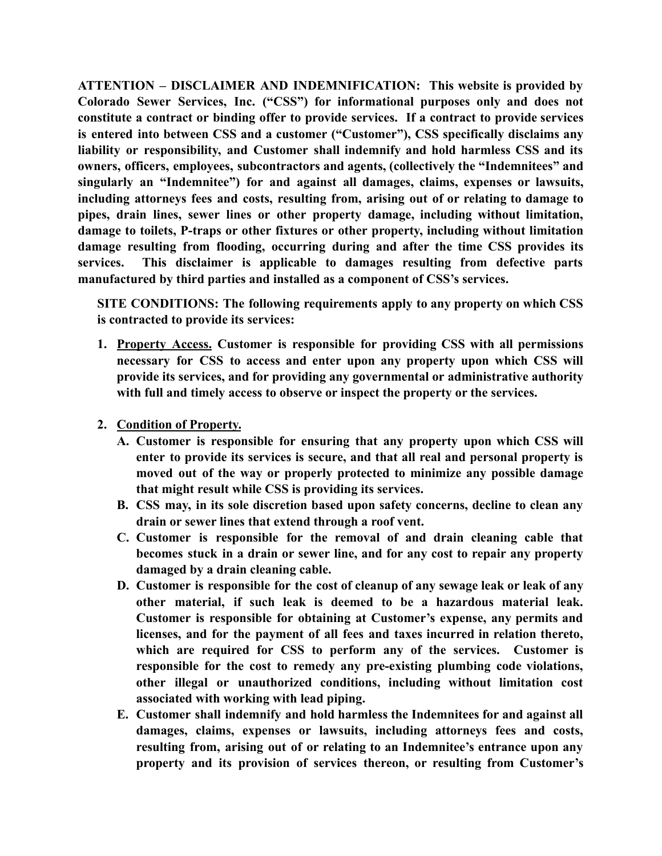**ATTENTION – DISCLAIMER AND INDEMNIFICATION: This website is provided by Colorado Sewer Services, Inc. ("CSS") for informational purposes only and does not constitute a contract or binding offer to provide services. If a contract to provide services is entered into between CSS and a customer ("Customer"), CSS specifically disclaims any liability or responsibility, and Customer shall indemnify and hold harmless CSS and its owners, officers, employees, subcontractors and agents, (collectively the "Indemnitees" and singularly an "Indemnitee") for and against all damages, claims, expenses or lawsuits, including attorneys fees and costs, resulting from, arising out of or relating to damage to pipes, drain lines, sewer lines or other property damage, including without limitation, damage to toilets, P-traps or other fixtures or other property, including without limitation damage resulting from flooding, occurring during and after the time CSS provides its services. This disclaimer is applicable to damages resulting from defective parts manufactured by third parties and installed as a component of CSS's services.**

**SITE CONDITIONS: The following requirements apply to any property on which CSS is contracted to provide its services:**

- **1. Property Access. Customer is responsible for providing CSS with all permissions necessary for CSS to access and enter upon any property upon which CSS will provide its services, and for providing any governmental or administrative authority with full and timely access to observe or inspect the property or the services.**
- **2. Condition of Property.**
	- **A. Customer is responsible for ensuring that any property upon which CSS will enter to provide its services is secure, and that all real and personal property is moved out of the way or properly protected to minimize any possible damage that might result while CSS is providing its services.**
	- **B. CSS may, in its sole discretion based upon safety concerns, decline to clean any drain or sewer lines that extend through a roof vent.**
	- **C. Customer is responsible for the removal of and drain cleaning cable that becomes stuck in a drain or sewer line, and for any cost to repair any property damaged by a drain cleaning cable.**
	- **D. Customer is responsible for the cost of cleanup of any sewage leak or leak of any other material, if such leak is deemed to be a hazardous material leak. Customer is responsible for obtaining at Customer's expense, any permits and licenses, and for the payment of all fees and taxes incurred in relation thereto, which are required for CSS to perform any of the services. Customer is responsible for the cost to remedy any pre-existing plumbing code violations, other illegal or unauthorized conditions, including without limitation cost associated with working with lead piping.**
	- **E. Customer shall indemnify and hold harmless the Indemnitees for and against all damages, claims, expenses or lawsuits, including attorneys fees and costs, resulting from, arising out of or relating to an Indemnitee's entrance upon any property and its provision of services thereon, or resulting from Customer's**